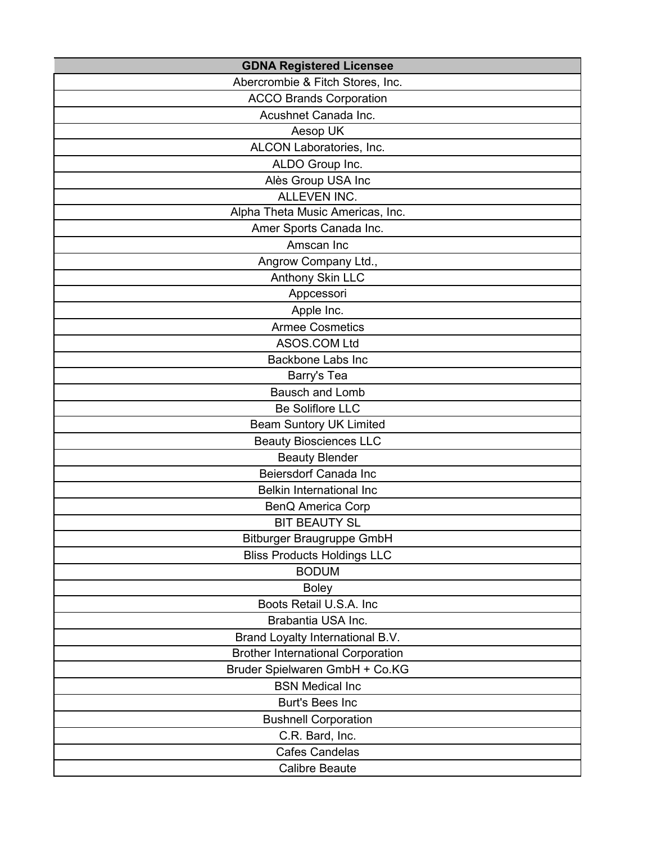| <b>GDNA Registered Licensee</b>          |
|------------------------------------------|
| Abercrombie & Fitch Stores, Inc.         |
| <b>ACCO Brands Corporation</b>           |
| Acushnet Canada Inc.                     |
| Aesop UK                                 |
| ALCON Laboratories, Inc.                 |
| ALDO Group Inc.                          |
| Alès Group USA Inc                       |
| <b>ALLEVEN INC.</b>                      |
| Alpha Theta Music Americas, Inc.         |
| Amer Sports Canada Inc.                  |
| Amscan Inc                               |
| Angrow Company Ltd.,                     |
| Anthony Skin LLC                         |
| Appcessori                               |
| Apple Inc.                               |
| <b>Armee Cosmetics</b>                   |
| <b>ASOS.COM Ltd</b>                      |
| <b>Backbone Labs Inc</b>                 |
| Barry's Tea                              |
| <b>Bausch and Lomb</b>                   |
| <b>Be Soliflore LLC</b>                  |
| <b>Beam Suntory UK Limited</b>           |
| <b>Beauty Biosciences LLC</b>            |
| <b>Beauty Blender</b>                    |
| <b>Beiersdorf Canada Inc</b>             |
| <b>Belkin International Inc</b>          |
| <b>BenQ America Corp</b>                 |
| <b>BIT BEAUTY SL</b>                     |
| <b>Bitburger Braugruppe GmbH</b>         |
| <b>Bliss Products Holdings LLC</b>       |
| <b>BODUM</b>                             |
| <b>Boley</b>                             |
| Boots Retail U.S.A. Inc                  |
| Brabantia USA Inc.                       |
| Brand Loyalty International B.V.         |
| <b>Brother International Corporation</b> |
| Bruder Spielwaren GmbH + Co.KG           |
| <b>BSN Medical Inc</b>                   |
| <b>Burt's Bees Inc</b>                   |
| <b>Bushnell Corporation</b>              |
| C.R. Bard, Inc.                          |
| <b>Cafes Candelas</b>                    |
| <b>Calibre Beaute</b>                    |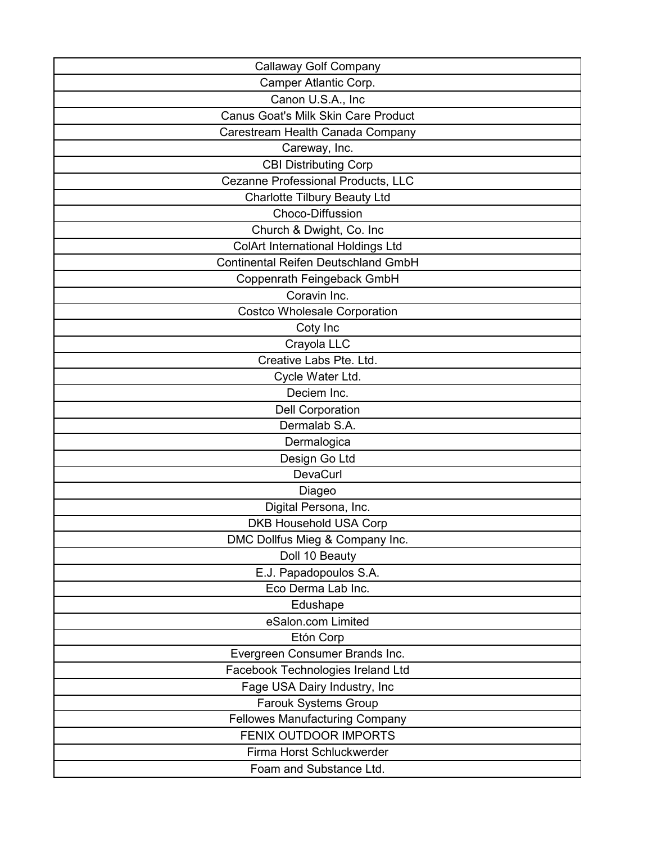| <b>Callaway Golf Company</b>               |
|--------------------------------------------|
| Camper Atlantic Corp.                      |
| Canon U.S.A., Inc                          |
| <b>Canus Goat's Milk Skin Care Product</b> |
| Carestream Health Canada Company           |
| Careway, Inc.                              |
| <b>CBI Distributing Corp</b>               |
| Cezanne Professional Products, LLC         |
| <b>Charlotte Tilbury Beauty Ltd</b>        |
| Choco-Diffussion                           |
| Church & Dwight, Co. Inc                   |
| ColArt International Holdings Ltd          |
| <b>Continental Reifen Deutschland GmbH</b> |
| Coppenrath Feingeback GmbH                 |
| Coravin Inc.                               |
| Costco Wholesale Corporation               |
| Coty Inc                                   |
| Crayola LLC                                |
| Creative Labs Pte. Ltd.                    |
| Cycle Water Ltd.                           |
| Deciem Inc.                                |
| <b>Dell Corporation</b>                    |
| Dermalab S.A.                              |
| Dermalogica                                |
| Design Go Ltd                              |
| <b>DevaCurl</b>                            |
| Diageo                                     |
| Digital Persona, Inc.                      |
| <b>DKB Household USA Corp</b>              |
| DMC Dollfus Mieg & Company Inc.            |
| Doll 10 Beauty                             |
| E.J. Papadopoulos S.A.                     |
| Eco Derma Lab Inc.                         |
| Edushape                                   |
| eSalon.com Limited                         |
| Etón Corp                                  |
| Evergreen Consumer Brands Inc.             |
| Facebook Technologies Ireland Ltd          |
| Fage USA Dairy Industry, Inc               |
| <b>Farouk Systems Group</b>                |
| <b>Fellowes Manufacturing Company</b>      |
| FENIX OUTDOOR IMPORTS                      |
| Firma Horst Schluckwerder                  |
| Foam and Substance Ltd.                    |
|                                            |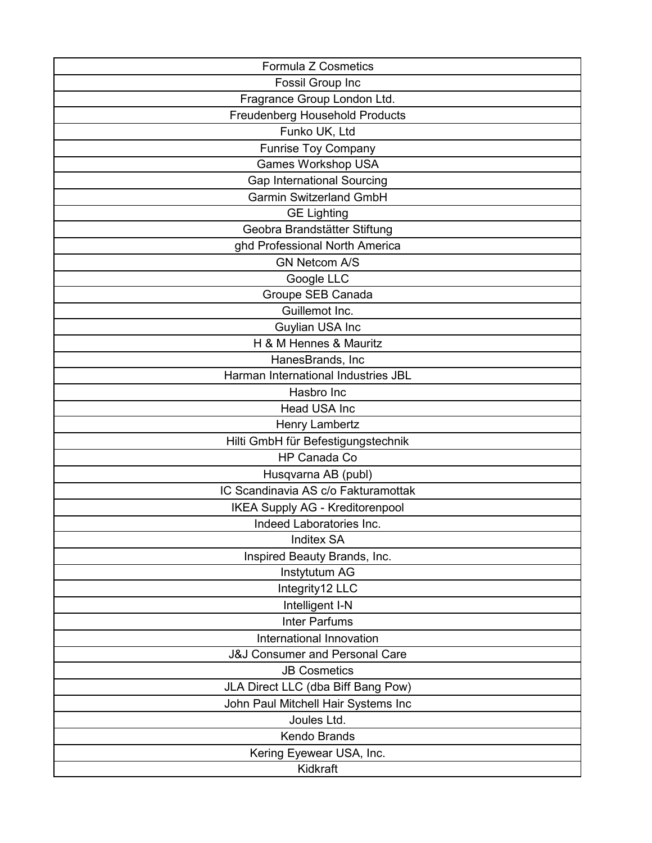| <b>Formula Z Cosmetics</b>                |
|-------------------------------------------|
| Fossil Group Inc                          |
| Fragrance Group London Ltd.               |
| Freudenberg Household Products            |
| Funko UK, Ltd                             |
| <b>Funrise Toy Company</b>                |
| <b>Games Workshop USA</b>                 |
| <b>Gap International Sourcing</b>         |
| <b>Garmin Switzerland GmbH</b>            |
| <b>GE Lighting</b>                        |
| Geobra Brandstätter Stiftung              |
| ghd Professional North America            |
| <b>GN Netcom A/S</b>                      |
| Google LLC                                |
| Groupe SEB Canada                         |
| Guillemot Inc.                            |
| Guylian USA Inc                           |
| H & M Hennes & Mauritz                    |
| HanesBrands, Inc                          |
| Harman International Industries JBL       |
| Hasbro Inc                                |
| <b>Head USA Inc</b>                       |
| Henry Lambertz                            |
| Hilti GmbH für Befestigungstechnik        |
| HP Canada Co                              |
| Husqvarna AB (publ)                       |
| IC Scandinavia AS c/o Fakturamottak       |
| <b>IKEA Supply AG - Kreditorenpool</b>    |
| Indeed Laboratories Inc.                  |
| <b>Inditex SA</b>                         |
| Inspired Beauty Brands, Inc.              |
| Instytutum AG                             |
| Integrity12 LLC                           |
| Intelligent I-N                           |
| <b>Inter Parfums</b>                      |
| International Innovation                  |
| <b>J&amp;J Consumer and Personal Care</b> |
| <b>JB Cosmetics</b>                       |
| JLA Direct LLC (dba Biff Bang Pow)        |
| John Paul Mitchell Hair Systems Inc       |
| Joules Ltd.                               |
| <b>Kendo Brands</b>                       |
| Kering Eyewear USA, Inc.                  |
| Kidkraft                                  |
|                                           |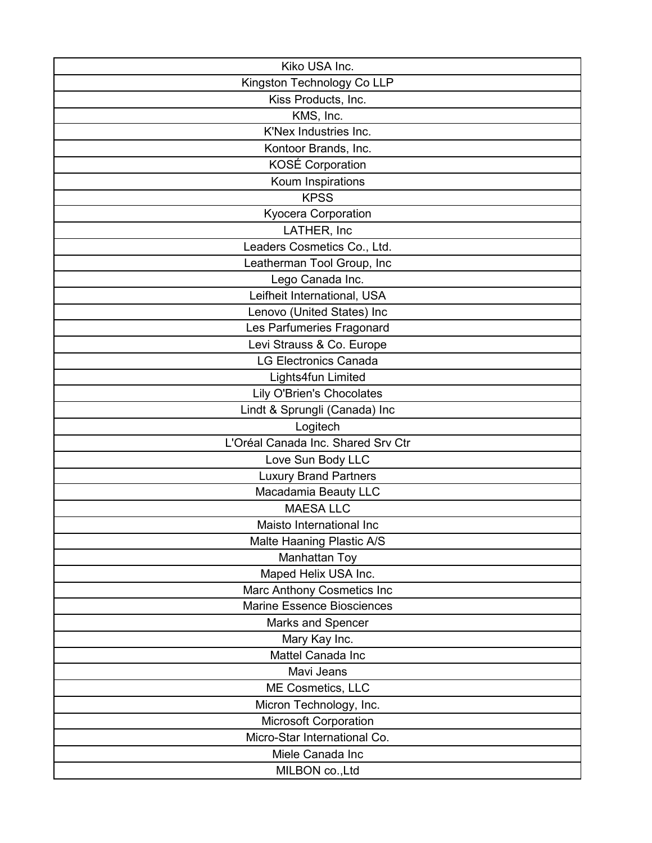| Kiko USA Inc.                      |
|------------------------------------|
| Kingston Technology Co LLP         |
| Kiss Products, Inc.                |
| KMS, Inc.                          |
| K'Nex Industries Inc.              |
| Kontoor Brands, Inc.               |
| KOSÉ Corporation                   |
| Koum Inspirations                  |
| <b>KPSS</b>                        |
| Kyocera Corporation                |
| LATHER, Inc                        |
| Leaders Cosmetics Co., Ltd.        |
| Leatherman Tool Group, Inc         |
| Lego Canada Inc.                   |
| Leifheit International, USA        |
| Lenovo (United States) Inc         |
| Les Parfumeries Fragonard          |
| Levi Strauss & Co. Europe          |
| <b>LG Electronics Canada</b>       |
| Lights4fun Limited                 |
| <b>Lily O'Brien's Chocolates</b>   |
| Lindt & Sprungli (Canada) Inc      |
| Logitech                           |
| L'Oréal Canada Inc. Shared Srv Ctr |
| Love Sun Body LLC                  |
| <b>Luxury Brand Partners</b>       |
| Macadamia Beauty LLC               |
| <b>MAESA LLC</b>                   |
| Maisto International Inc           |
| Malte Haaning Plastic A/S          |
| Manhattan Toy                      |
| Maped Helix USA Inc.               |
| Marc Anthony Cosmetics Inc         |
| <b>Marine Essence Biosciences</b>  |
| Marks and Spencer                  |
| Mary Kay Inc.                      |
| Mattel Canada Inc                  |
| Mavi Jeans                         |
| ME Cosmetics, LLC                  |
| Micron Technology, Inc.            |
| <b>Microsoft Corporation</b>       |
| Micro-Star International Co.       |
| Miele Canada Inc                   |
| MILBON co., Ltd                    |
|                                    |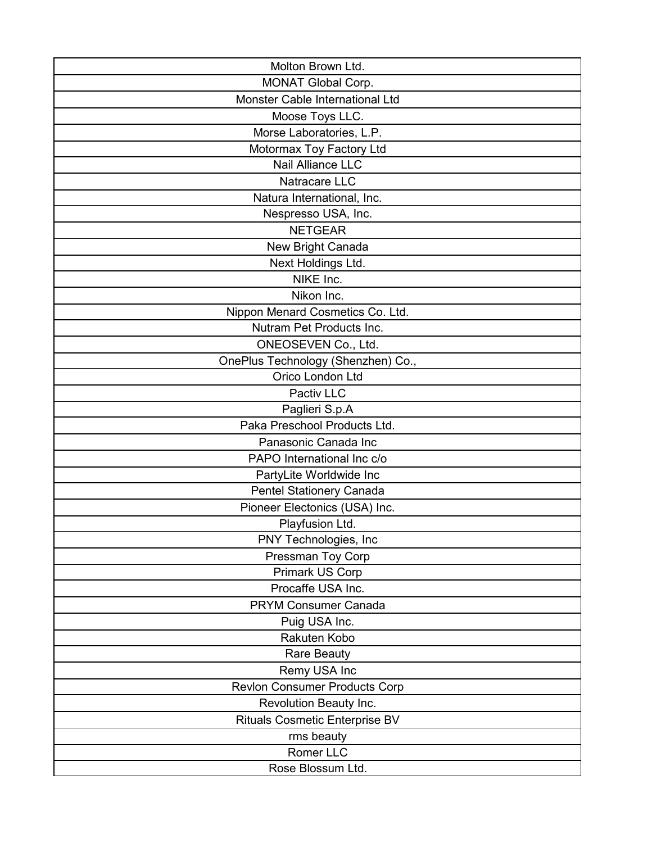| Molton Brown Ltd.                     |
|---------------------------------------|
| <b>MONAT Global Corp.</b>             |
| Monster Cable International Ltd       |
| Moose Toys LLC.                       |
| Morse Laboratories, L.P.              |
| Motormax Toy Factory Ltd              |
| <b>Nail Alliance LLC</b>              |
| Natracare LLC                         |
| Natura International, Inc.            |
| Nespresso USA, Inc.                   |
| <b>NETGEAR</b>                        |
| New Bright Canada                     |
| Next Holdings Ltd.                    |
| NIKE Inc.                             |
| Nikon Inc.                            |
| Nippon Menard Cosmetics Co. Ltd.      |
| Nutram Pet Products Inc.              |
| ONEOSEVEN Co., Ltd.                   |
| OnePlus Technology (Shenzhen) Co.,    |
| Orico London Ltd                      |
| Pactiv LLC                            |
| Paglieri S.p.A                        |
| Paka Preschool Products Ltd.          |
| Panasonic Canada Inc                  |
| PAPO International Inc c/o            |
| PartyLite Worldwide Inc               |
| <b>Pentel Stationery Canada</b>       |
| Pioneer Electonics (USA) Inc.         |
| Playfusion Ltd.                       |
| PNY Technologies, Inc                 |
| Pressman Toy Corp                     |
| Primark US Corp                       |
| Procaffe USA Inc.                     |
| <b>PRYM Consumer Canada</b>           |
| Puig USA Inc.                         |
| Rakuten Kobo                          |
| <b>Rare Beauty</b>                    |
| Remy USA Inc                          |
| <b>Revion Consumer Products Corp</b>  |
| Revolution Beauty Inc.                |
| <b>Rituals Cosmetic Enterprise BV</b> |
| rms beauty                            |
| Romer LLC                             |
| Rose Blossum Ltd.                     |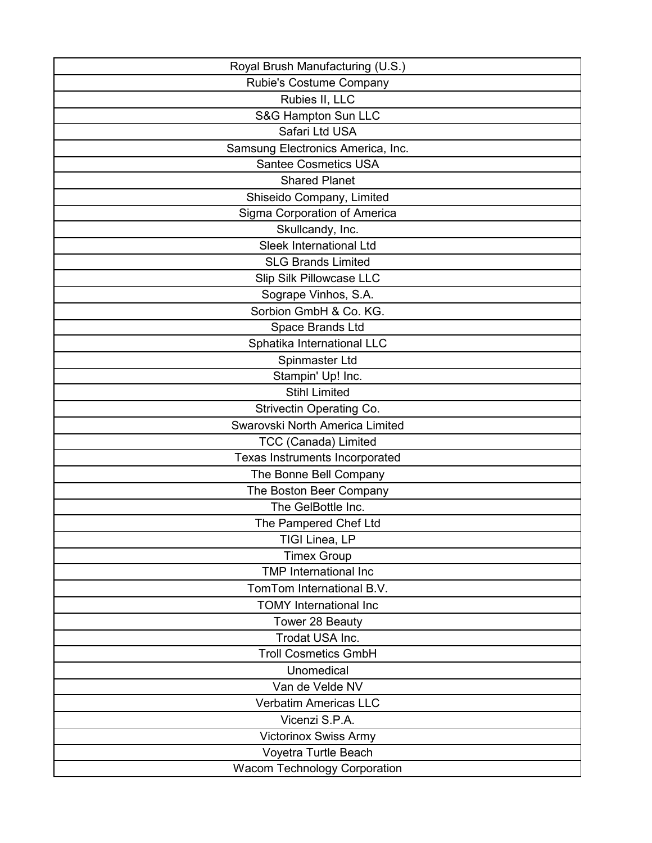| Royal Brush Manufacturing (U.S.)    |
|-------------------------------------|
| Rubie's Costume Company             |
| Rubies II, LLC                      |
| S&G Hampton Sun LLC                 |
| Safari Ltd USA                      |
| Samsung Electronics America, Inc.   |
| <b>Santee Cosmetics USA</b>         |
| <b>Shared Planet</b>                |
| Shiseido Company, Limited           |
| Sigma Corporation of America        |
| Skullcandy, Inc.                    |
| Sleek International Ltd             |
| <b>SLG Brands Limited</b>           |
| Slip Silk Pillowcase LLC            |
| Sogrape Vinhos, S.A.                |
| Sorbion GmbH & Co. KG.              |
| Space Brands Ltd                    |
| Sphatika International LLC          |
| Spinmaster Ltd                      |
| Stampin' Up! Inc.                   |
| <b>Stihl Limited</b>                |
| Strivectin Operating Co.            |
| Swarovski North America Limited     |
| <b>TCC (Canada) Limited</b>         |
| Texas Instruments Incorporated      |
| The Bonne Bell Company              |
| The Boston Beer Company             |
| The GelBottle Inc.                  |
| The Pampered Chef Ltd               |
| TIGI Linea, LP                      |
| <b>Timex Group</b>                  |
| <b>TMP</b> International Inc        |
| TomTom International B.V.           |
| <b>TOMY International Inc</b>       |
| Tower 28 Beauty                     |
| Trodat USA Inc.                     |
| <b>Troll Cosmetics GmbH</b>         |
| Unomedical                          |
| Van de Velde NV                     |
| <b>Verbatim Americas LLC</b>        |
| Vicenzi S.P.A.                      |
| <b>Victorinox Swiss Army</b>        |
| Voyetra Turtle Beach                |
| <b>Wacom Technology Corporation</b> |